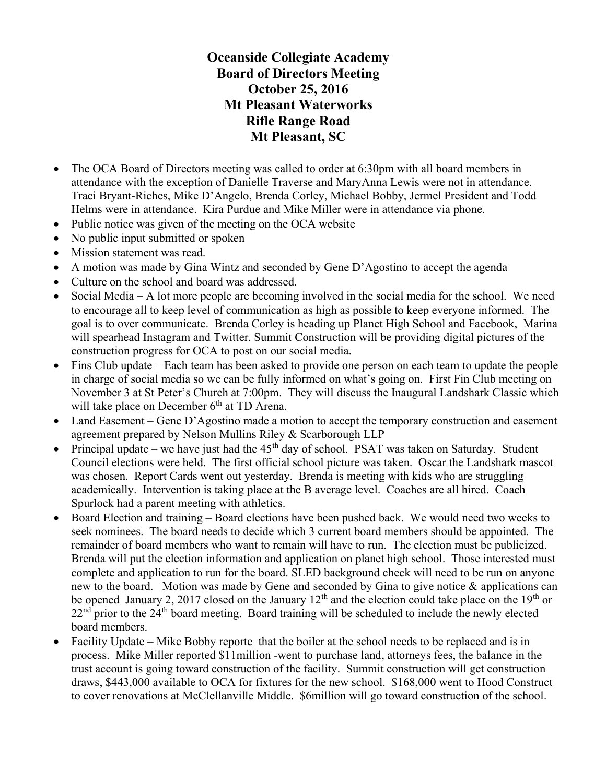## Oceanside Collegiate Academy Board of Directors Meeting October 25, 2016 Mt Pleasant Waterworks Rifle Range Road Mt Pleasant, SC

- The OCA Board of Directors meeting was called to order at 6:30pm with all board members in attendance with the exception of Danielle Traverse and MaryAnna Lewis were not in attendance. Traci Bryant-Riches, Mike D'Angelo, Brenda Corley, Michael Bobby, Jermel President and Todd Helms were in attendance. Kira Purdue and Mike Miller were in attendance via phone.
- Public notice was given of the meeting on the OCA website
- No public input submitted or spoken
- Mission statement was read.
- A motion was made by Gina Wintz and seconded by Gene D'Agostino to accept the agenda
- Culture on the school and board was addressed.
- Social Media A lot more people are becoming involved in the social media for the school. We need to encourage all to keep level of communication as high as possible to keep everyone informed. The goal is to over communicate. Brenda Corley is heading up Planet High School and Facebook, Marina will spearhead Instagram and Twitter. Summit Construction will be providing digital pictures of the construction progress for OCA to post on our social media.
- Fins Club update Each team has been asked to provide one person on each team to update the people in charge of social media so we can be fully informed on what's going on. First Fin Club meeting on November 3 at St Peter's Church at 7:00pm. They will discuss the Inaugural Landshark Classic which will take place on December  $6<sup>th</sup>$  at TD Arena.
- Land Easement Gene D'Agostino made a motion to accept the temporary construction and easement agreement prepared by Nelson Mullins Riley & Scarborough LLP
- Principal update we have just had the  $45<sup>th</sup>$  day of school. PSAT was taken on Saturday. Student Council elections were held. The first official school picture was taken. Oscar the Landshark mascot was chosen. Report Cards went out yesterday. Brenda is meeting with kids who are struggling academically. Intervention is taking place at the B average level. Coaches are all hired. Coach Spurlock had a parent meeting with athletics.
- Board Election and training Board elections have been pushed back. We would need two weeks to seek nominees. The board needs to decide which 3 current board members should be appointed. The remainder of board members who want to remain will have to run. The election must be publicized. Brenda will put the election information and application on planet high school. Those interested must complete and application to run for the board. SLED background check will need to be run on anyone new to the board. Motion was made by Gene and seconded by Gina to give notice & applications can be opened January 2, 2017 closed on the January  $12<sup>th</sup>$  and the election could take place on the  $19<sup>th</sup>$  or  $22<sup>nd</sup>$  prior to the  $24<sup>th</sup>$  board meeting. Board training will be scheduled to include the newly elected board members.
- Facility Update Mike Bobby reporte that the boiler at the school needs to be replaced and is in process. Mike Miller reported \$11million -went to purchase land, attorneys fees, the balance in the trust account is going toward construction of the facility. Summit construction will get construction draws, \$443,000 available to OCA for fixtures for the new school. \$168,000 went to Hood Construct to cover renovations at McClellanville Middle. \$6million will go toward construction of the school.